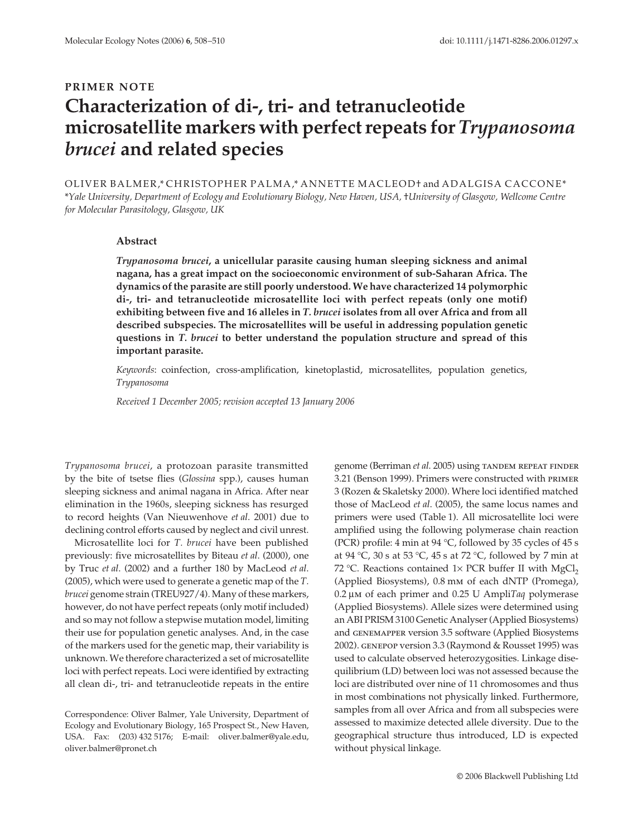## **PRIMER NOTE Characterization of di-, tri- and tetranucleotide microsatellite markers with perfect repeats for** *Trypanosoma brucei* **and related species**

OLIVER BALMER,\* CHRISTOPHER PALMA,\* ANNETTE MACLEOD† and ADALGISA CACCONE\* \**Yale University, Department of Ecology and Evolutionary Biology, New Haven, USA,* †*University of Glasgow, Wellcome Centre for Molecular Parasitology, Glasgow, UK* 

## **Abstract**

*Trypanosoma brucei***, a unicellular parasite causing human sleeping sickness and animal nagana, has a great impact on the socioeconomic environment of sub-Saharan Africa. The dynamics of the parasite are still poorly understood. We have characterized 14 polymorphic di-, tri- and tetranucleotide microsatellite loci with perfect repeats (only one motif) exhibiting between five and 16 alleles in** *T. brucei* **isolates from all over Africa and from all described subspecies. The microsatellites will be useful in addressing population genetic questions in** *T. brucei* **to better understand the population structure and spread of this important parasite.**

*Keywords*: coinfection, cross-amplification, kinetoplastid, microsatellites, population genetics, *Trypanosoma*

*Received 1 December 2005; revision accepted 13 January 2006*

*Trypanosoma brucei*, a protozoan parasite transmitted by the bite of tsetse flies (*Glossina* spp.), causes human sleeping sickness and animal nagana in Africa. After near elimination in the 1960s, sleeping sickness has resurged to record heights (Van Nieuwenhove *et al*. 2001) due to declining control efforts caused by neglect and civil unrest.

Microsatellite loci for *T. brucei* have been published previously: five microsatellites by Biteau *et al*. (2000), one by Truc *et al*. (2002) and a further 180 by MacLeod *et al*. (2005), which were used to generate a genetic map of the *T. brucei* genome strain (TREU927/4)*.* Many of these markers, however, do not have perfect repeats (only motif included) and so may not follow a stepwise mutation model, limiting their use for population genetic analyses. And, in the case of the markers used for the genetic map, their variability is unknown. We therefore characterized a set of microsatellite loci with perfect repeats. Loci were identified by extracting all clean di-, tri- and tetranucleotide repeats in the entire genome (Berriman *et al.* 2005) using TANDEM REPEAT FINDER 3.21 (Benson 1999). Primers were constructed with primer 3 (Rozen & Skaletsky 2000). Where loci identified matched those of MacLeod *et al*. (2005), the same locus names and primers were used (Table 1). All microsatellite loci were amplified using the following polymerase chain reaction (PCR) profile: 4 min at 94 °C, followed by 35 cycles of 45 s at 94 °C, 30 s at 53 °C, 45 s at 72 °C, followed by 7 min at 72 °C. Reactions contained  $1 \times PCR$  buffer II with MgCl<sub>2</sub> (Applied Biosystems), 0.8 mm of each dNTP (Promega), 0.2 µm of each primer and 0.25 U Ampli*Taq* polymerase (Applied Biosystems). Allele sizes were determined using an ABI PRISM 3100 Genetic Analyser (Applied Biosystems) and genemapper version 3.5 software (Applied Biosystems 2002). genepop version 3.3 (Raymond & Rousset 1995) was used to calculate observed heterozygosities. Linkage disequilibrium (LD) between loci was not assessed because the loci are distributed over nine of 11 chromosomes and thus in most combinations not physically linked. Furthermore, samples from all over Africa and from all subspecies were assessed to maximize detected allele diversity. Due to the geographical structure thus introduced, LD is expected without physical linkage.

Correspondence: Oliver Balmer, Yale University, Department of Ecology and Evolutionary Biology, 165 Prospect St., New Haven, USA. Fax: (203) 432 5176; E-mail: oliver.balmer@yale.edu, oliver.balmer@pronet.ch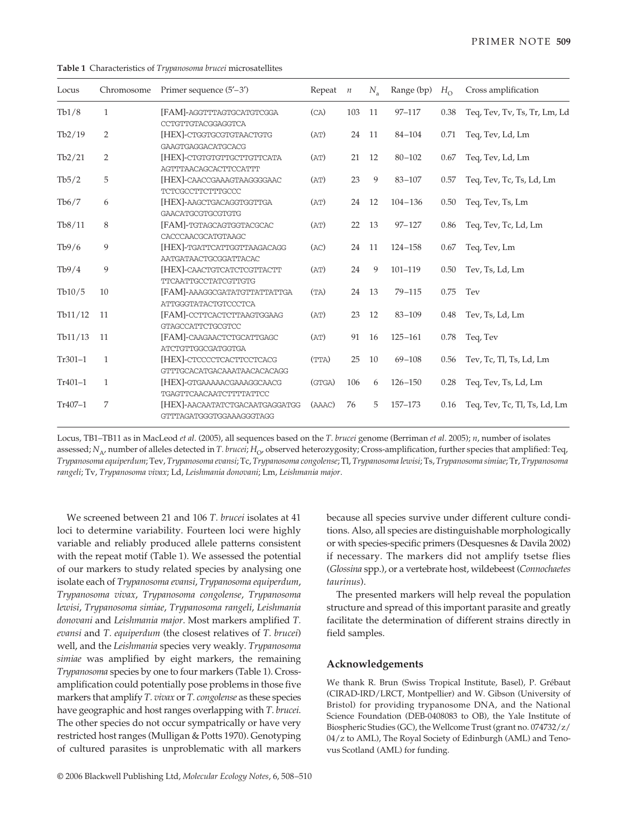| Locus     | Chromosome     | Primer sequence $(5'-3')$                                    | Repeat $n$ |     | $N_{\rm a}$ | Range (bp)  | $H_{\Omega}$ | Cross amplification          |
|-----------|----------------|--------------------------------------------------------------|------------|-----|-------------|-------------|--------------|------------------------------|
| Tb1/8     | $\mathbf{1}$   | [FAM]-AGGTTTAGTGCATGTCGGA<br>CCTGTTGTACGGAGGTCA              | (CA)       | 103 | 11          | $97 - 117$  | 0.38         | Teq, Tev, Tv, Ts, Tr, Lm, Ld |
| Tb2/19    | $\overline{2}$ | [HEX]-CTGGTGCGTGTAACTGTG<br><b>GAAGTGAGGACATGCACG</b>        | (AT)       | 24  | -11         | $84 - 104$  | 0.71         | Teq, Tev, Ld, Lm             |
| Tb2/21    | $\overline{2}$ | [HEX]-CTGTGTGTTGCTTGTTCATA<br>AGTTTAACAGCACTTCCATTT          | (AT)       | 21  | 12          | $80 - 102$  | 0.67         | Teq, Tev, Ld, Lm             |
| Tb5/2     | 5              | [HEX]-CAACCGAAAGTAAGGGGAAC<br><b>TCTCGCCTTCTTTGCCC</b>       | (AT)       | 23  | 9           | $83 - 107$  | 0.57         | Teq, Tev, Tc, Ts, Ld, Lm     |
| Tb6/7     | 6              | [HEX]-AAGCTGACAGGTGGTTGA<br><b>GAACATGCGTGCGTGTG</b>         | (AT)       | 24  | 12          | $104 - 136$ | 0.50         | Teq, Tev, Ts, Lm             |
| Tb8/11    | 8              | [FAM]-TGTAGCAGTGGTACGCAC<br>CACCCAACGCATGTAAGC               | (AT)       | 22  | 13          | $97 - 127$  | 0.86         | Teq, Tev, Tc, Ld, Lm         |
| Tb9/6     | 9              | [HEX]-TGATTCATTGGTTAAGACAGG<br>AATGATAACTGCGGATTACAC         | (AC)       | 24  | 11          | $124 - 158$ | 0.67         | Teg, Tev, Lm                 |
| Tb9/4     | 9              | [HEX]-CAACTGTCATCTCGTTACTT<br>TTCAATTGCCTATCGTTGTG           | (AT)       | 24  | 9           | $101 - 119$ | 0.50         | Tev, Ts, Ld, Lm              |
| Tb10/5    | 10             | [FAM]-AAAGGCGATATGTTATTATTGA<br>ATTGGGTATACTGTCCCTCA         | (TA)       | 24  | -13         | $79 - 115$  | 0.75         | Tev                          |
| Tb11/12   | 11             | [FAM]-CCTTCACTCTTAAGTGGAAG<br><b>GTAGCCATTCTGCGTCC</b>       | (AT)       | 23  | 12          | $83 - 109$  | 0.48         | Tev, Ts, Ld, Lm              |
| Tb11/13   | 11             | [FAM]-CAAGAACTCTGCATTGAGC<br><b>ATCTGTTGGCGATGGTGA</b>       | (AT)       | 91  | 16          | $125 - 161$ | 0.78         | Teq, Tev                     |
| $Tr301-1$ | $\mathbf{1}$   | [HEX]-CTCCCCTCACTTCCTCACG<br>GTTTGCACATGACAAATAACACACAGG     | (TTA)      | 25  | 10          | $69 - 108$  | 0.56         | Tev, Tc, Tl, Ts, Ld, Lm      |
| $Tr401-1$ | $\mathbf{1}$   | [HEX]-GTGAAAAACGAAAGGCAACG<br><b>TGAGTTCAACAATCTTTTATTCC</b> | (GTGA)     | 106 | 6           | $126 - 150$ | 0.28         | Teq, Tev, Ts, Ld, Lm         |
| Tr407-1   | 7              | [HEX]-AACAATATCTGACAATGAGGATGG<br>GTTTAGATGGGTGGAAAGGGTAGG   | (AAAC)     | 76  | 5           | 157-173     | 0.16         | Teq, Tev, Tc, Tl, Ts, Ld, Lm |

**Table 1** Characteristics of *Trypanosoma brucei* microsatellites

Locus, TB1–TB11 as in MacLeod *et al*. (2005), all sequences based on the *T. brucei* genome (Berriman *et al*. 2005); *n*, number of isolates assessed; *N*<sub>A</sub>, number of alleles detected in *T. brucei*; *H*<sub>O</sub>, observed heterozygosity; Cross-amplification, further species that amplified: Teq, *Trypanosoma equiperdum*; Tev, *Trypanosoma evansi*; Tc, *Trypanosoma congolense*; Tl, *Trypanosoma lewisi*; Ts, *Trypanosoma simiae*; Tr, *Trypanosoma rangeli*; Tv, *Trypanosoma vivax*; Ld, *Leishmania donovani*; Lm, *Leishmania major*.

We screened between 21 and 106 *T. brucei* isolates at 41 loci to determine variability. Fourteen loci were highly variable and reliably produced allele patterns consistent with the repeat motif (Table 1). We assessed the potential of our markers to study related species by analysing one isolate each of *Trypanosoma evansi*, *Trypanosoma equiperdum*, *Trypanosoma vivax*, *Trypanosoma congolense*, *Trypanosoma lewisi*, *Trypanosoma simiae*, *Trypanosoma rangeli*, *Leishmania donovani* and *Leishmania major*. Most markers amplified *T. evansi* and *T. equiperdum* (the closest relatives of *T. brucei*) well, and the *Leishmania* species very weakly. *Trypanosoma simiae* was amplified by eight markers, the remaining *Trypanosoma* species by one to four markers (Table 1). Crossamplification could potentially pose problems in those five markers that amplify *T. vivax* or *T. congolense* as these species have geographic and host ranges overlapping with *T. brucei*. The other species do not occur sympatrically or have very restricted host ranges (Mulligan & Potts 1970). Genotyping of cultured parasites is unproblematic with all markers

because all species survive under different culture conditions. Also, all species are distinguishable morphologically or with species-specific primers (Desquesnes & Davila 2002) if necessary. The markers did not amplify tsetse flies (*Glossina* spp.), or a vertebrate host, wildebeest (*Connochaetes taurinus*).

The presented markers will help reveal the population structure and spread of this important parasite and greatly facilitate the determination of different strains directly in field samples.

## **Acknowledgements**

We thank R. Brun (Swiss Tropical Institute, Basel), P. Grébaut (CIRAD-IRD/LRCT, Montpellier) and W. Gibson (University of Bristol) for providing trypanosome DNA, and the National Science Foundation (DEB-0408083 to OB), the Yale Institute of Biospheric Studies (GC), the Wellcome Trust (grant no. 074732/z/ 04/z to AML), The Royal Society of Edinburgh (AML) and Tenovus Scotland (AML) for funding.